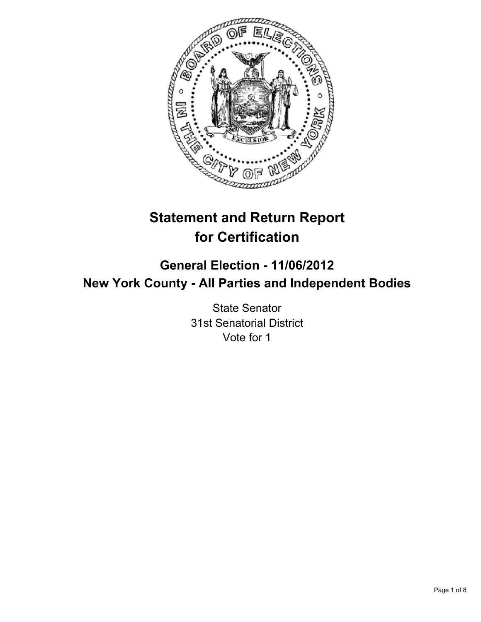

# **Statement and Return Report for Certification**

# **General Election - 11/06/2012 New York County - All Parties and Independent Bodies**

State Senator 31st Senatorial District Vote for 1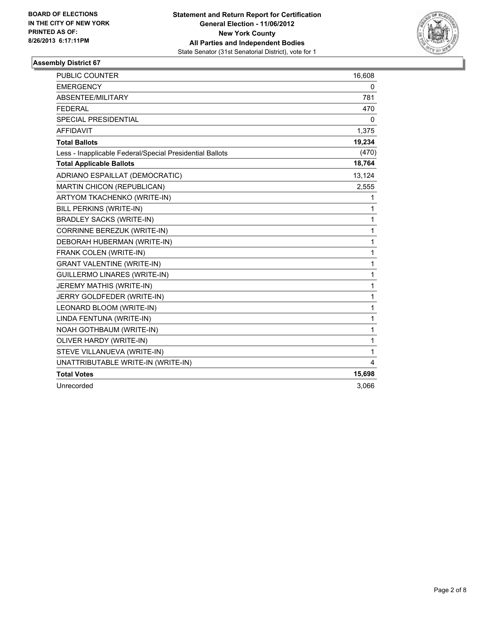

| <b>PUBLIC COUNTER</b>                                    | 16,608       |
|----------------------------------------------------------|--------------|
| <b>EMERGENCY</b>                                         | 0            |
| ABSENTEE/MILITARY                                        | 781          |
| <b>FEDERAL</b>                                           | 470          |
| <b>SPECIAL PRESIDENTIAL</b>                              | 0            |
| <b>AFFIDAVIT</b>                                         | 1,375        |
| <b>Total Ballots</b>                                     | 19,234       |
| Less - Inapplicable Federal/Special Presidential Ballots | (470)        |
| <b>Total Applicable Ballots</b>                          | 18,764       |
| ADRIANO ESPAILLAT (DEMOCRATIC)                           | 13,124       |
| MARTIN CHICON (REPUBLICAN)                               | 2,555        |
| ARTYOM TKACHENKO (WRITE-IN)                              | 1            |
| BILL PERKINS (WRITE-IN)                                  | 1            |
| <b>BRADLEY SACKS (WRITE-IN)</b>                          | 1            |
| CORRINNE BEREZUK (WRITE-IN)                              | $\mathbf{1}$ |
| DEBORAH HUBERMAN (WRITE-IN)                              | $\mathbf 1$  |
| FRANK COLEN (WRITE-IN)                                   | $\mathbf{1}$ |
| <b>GRANT VALENTINE (WRITE-IN)</b>                        | 1            |
| <b>GUILLERMO LINARES (WRITE-IN)</b>                      | $\mathbf{1}$ |
| JEREMY MATHIS (WRITE-IN)                                 | 1            |
| JERRY GOLDFEDER (WRITE-IN)                               | 1            |
| LEONARD BLOOM (WRITE-IN)                                 | 1            |
| LINDA FENTUNA (WRITE-IN)                                 | $\mathbf{1}$ |
| NOAH GOTHBAUM (WRITE-IN)                                 | 1            |
| OLIVER HARDY (WRITE-IN)                                  | 1            |
| STEVE VILLANUEVA (WRITE-IN)                              | 1            |
| UNATTRIBUTABLE WRITE-IN (WRITE-IN)                       | 4            |
| <b>Total Votes</b>                                       | 15,698       |
| Unrecorded                                               | 3,066        |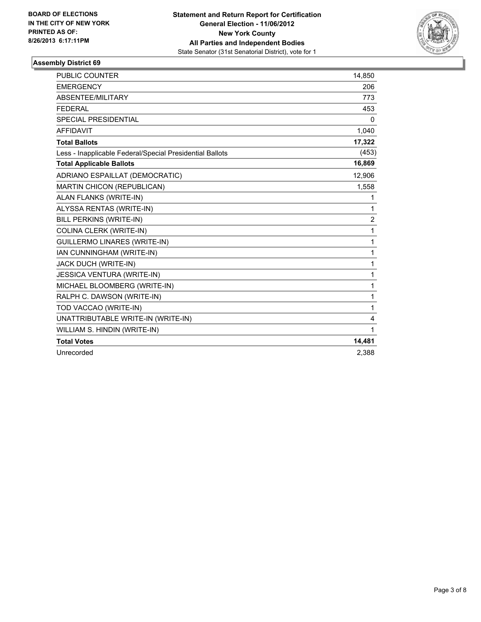

| <b>PUBLIC COUNTER</b>                                    | 14,850       |
|----------------------------------------------------------|--------------|
| <b>EMERGENCY</b>                                         | 206          |
| ABSENTEE/MILITARY                                        | 773          |
| <b>FEDERAL</b>                                           | 453          |
| <b>SPECIAL PRESIDENTIAL</b>                              | $\mathbf{0}$ |
| <b>AFFIDAVIT</b>                                         | 1,040        |
| <b>Total Ballots</b>                                     | 17,322       |
| Less - Inapplicable Federal/Special Presidential Ballots | (453)        |
| <b>Total Applicable Ballots</b>                          | 16,869       |
| ADRIANO ESPAILLAT (DEMOCRATIC)                           | 12,906       |
| <b>MARTIN CHICON (REPUBLICAN)</b>                        | 1,558        |
| ALAN FLANKS (WRITE-IN)                                   | 1            |
| ALYSSA RENTAS (WRITE-IN)                                 | $\mathbf{1}$ |
| BILL PERKINS (WRITE-IN)                                  | 2            |
| COLINA CLERK (WRITE-IN)                                  | 1            |
| <b>GUILLERMO LINARES (WRITE-IN)</b>                      | 1            |
| IAN CUNNINGHAM (WRITE-IN)                                | 1            |
| JACK DUCH (WRITE-IN)                                     | 1            |
| <b>JESSICA VENTURA (WRITE-IN)</b>                        | $\mathbf{1}$ |
| MICHAEL BLOOMBERG (WRITE-IN)                             | $\mathbf{1}$ |
| RALPH C. DAWSON (WRITE-IN)                               | 1            |
| TOD VACCAO (WRITE-IN)                                    | 1            |
| UNATTRIBUTABLE WRITE-IN (WRITE-IN)                       | 4            |
| WILLIAM S. HINDIN (WRITE-IN)                             | $\mathbf{1}$ |
| <b>Total Votes</b>                                       | 14,481       |
| Unrecorded                                               | 2,388        |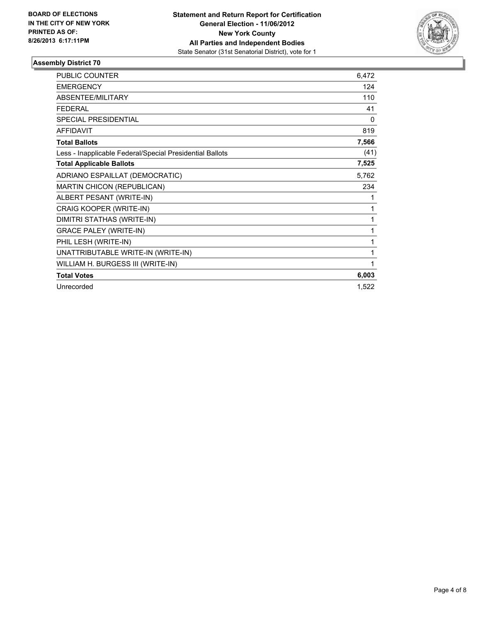

| <b>PUBLIC COUNTER</b>                                    | 6,472 |
|----------------------------------------------------------|-------|
| <b>EMERGENCY</b>                                         | 124   |
| ABSENTEE/MILITARY                                        | 110   |
| <b>FEDERAL</b>                                           | 41    |
| SPECIAL PRESIDENTIAL                                     | 0     |
| <b>AFFIDAVIT</b>                                         | 819   |
| <b>Total Ballots</b>                                     | 7,566 |
| Less - Inapplicable Federal/Special Presidential Ballots | (41)  |
| <b>Total Applicable Ballots</b>                          | 7,525 |
| ADRIANO ESPAILLAT (DEMOCRATIC)                           | 5,762 |
| <b>MARTIN CHICON (REPUBLICAN)</b>                        | 234   |
| ALBERT PESANT (WRITE-IN)                                 | 1     |
| CRAIG KOOPER (WRITE-IN)                                  | 1     |
| DIMITRI STATHAS (WRITE-IN)                               | 1     |
| <b>GRACE PALEY (WRITE-IN)</b>                            | 1     |
| PHIL LESH (WRITE-IN)                                     | 1     |
| UNATTRIBUTABLE WRITE-IN (WRITE-IN)                       | 1     |
| WILLIAM H. BURGESS III (WRITE-IN)                        | 1     |
| <b>Total Votes</b>                                       | 6,003 |
| Unrecorded                                               | 1,522 |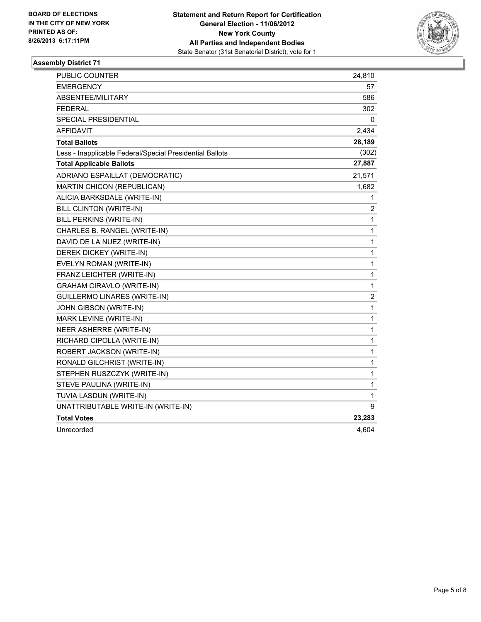

| <b>PUBLIC COUNTER</b>                                    | 24,810                  |
|----------------------------------------------------------|-------------------------|
| <b>EMERGENCY</b>                                         | 57                      |
| ABSENTEE/MILITARY                                        | 586                     |
| <b>FEDERAL</b>                                           | 302                     |
| <b>SPECIAL PRESIDENTIAL</b>                              | 0                       |
| <b>AFFIDAVIT</b>                                         | 2,434                   |
| <b>Total Ballots</b>                                     | 28,189                  |
| Less - Inapplicable Federal/Special Presidential Ballots | (302)                   |
| <b>Total Applicable Ballots</b>                          | 27,887                  |
| ADRIANO ESPAILLAT (DEMOCRATIC)                           | 21,571                  |
| MARTIN CHICON (REPUBLICAN)                               | 1,682                   |
| ALICIA BARKSDALE (WRITE-IN)                              | 1                       |
| BILL CLINTON (WRITE-IN)                                  | 2                       |
| BILL PERKINS (WRITE-IN)                                  | 1                       |
| CHARLES B. RANGEL (WRITE-IN)                             | 1                       |
| DAVID DE LA NUEZ (WRITE-IN)                              | $\mathbf{1}$            |
| DEREK DICKEY (WRITE-IN)                                  | 1                       |
| EVELYN ROMAN (WRITE-IN)                                  | 1                       |
| FRANZ LEICHTER (WRITE-IN)                                | 1                       |
| <b>GRAHAM CIRAVLO (WRITE-IN)</b>                         | $\mathbf{1}$            |
| GUILLERMO LINARES (WRITE-IN)                             | $\overline{\mathbf{c}}$ |
| JOHN GIBSON (WRITE-IN)                                   | 1                       |
| MARK LEVINE (WRITE-IN)                                   | $\mathbf 1$             |
| NEER ASHERRE (WRITE-IN)                                  | $\mathbf{1}$            |
| RICHARD CIPOLLA (WRITE-IN)                               | 1                       |
| ROBERT JACKSON (WRITE-IN)                                | 1                       |
| RONALD GILCHRIST (WRITE-IN)                              | 1                       |
| STEPHEN RUSZCZYK (WRITE-IN)                              | $\mathbf{1}$            |
| STEVE PAULINA (WRITE-IN)                                 | 1                       |
| TUVIA LASDUN (WRITE-IN)                                  | 1                       |
| UNATTRIBUTABLE WRITE-IN (WRITE-IN)                       | 9                       |
| <b>Total Votes</b>                                       | 23,283                  |
| Unrecorded                                               | 4,604                   |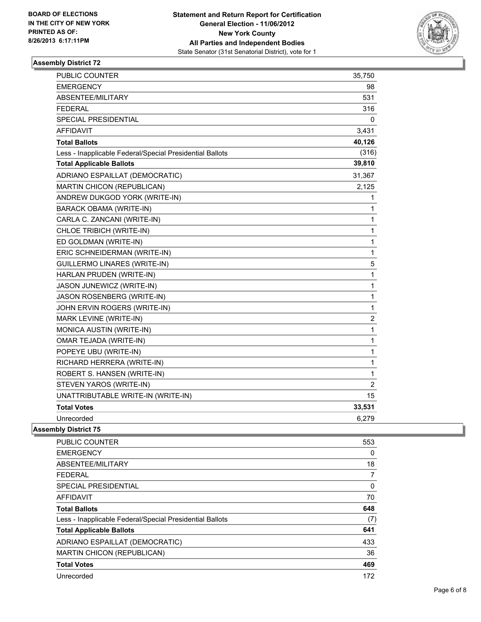

| PUBLIC COUNTER                                           | 35,750         |
|----------------------------------------------------------|----------------|
| <b>EMERGENCY</b>                                         | 98             |
| ABSENTEE/MILITARY                                        | 531            |
| <b>FEDERAL</b>                                           | 316            |
| SPECIAL PRESIDENTIAL                                     | 0              |
| <b>AFFIDAVIT</b>                                         | 3,431          |
| <b>Total Ballots</b>                                     | 40,126         |
| Less - Inapplicable Federal/Special Presidential Ballots | (316)          |
| <b>Total Applicable Ballots</b>                          | 39,810         |
| ADRIANO ESPAILLAT (DEMOCRATIC)                           | 31,367         |
| MARTIN CHICON (REPUBLICAN)                               | 2,125          |
| ANDREW DUKGOD YORK (WRITE-IN)                            | 1              |
| <b>BARACK OBAMA (WRITE-IN)</b>                           | 1              |
| CARLA C. ZANCANI (WRITE-IN)                              | $\mathbf 1$    |
| CHLOE TRIBICH (WRITE-IN)                                 | $\mathbf{1}$   |
| ED GOLDMAN (WRITE-IN)                                    | $\mathbf{1}$   |
| ERIC SCHNEIDERMAN (WRITE-IN)                             | $\mathbf{1}$   |
| <b>GUILLERMO LINARES (WRITE-IN)</b>                      | 5              |
| HARLAN PRUDEN (WRITE-IN)                                 | $\mathbf{1}$   |
| JASON JUNEWICZ (WRITE-IN)                                | $\mathbf 1$    |
| JASON ROSENBERG (WRITE-IN)                               | $\mathbf 1$    |
| JOHN ERVIN ROGERS (WRITE-IN)                             | $\mathbf{1}$   |
| MARK LEVINE (WRITE-IN)                                   | $\overline{c}$ |
| MONICA AUSTIN (WRITE-IN)                                 | $\mathbf{1}$   |
| OMAR TEJADA (WRITE-IN)                                   | $\mathbf 1$    |
| POPEYE UBU (WRITE-IN)                                    | $\mathbf 1$    |
| RICHARD HERRERA (WRITE-IN)                               | $\mathbf 1$    |
| ROBERT S. HANSEN (WRITE-IN)                              | $\mathbf{1}$   |
| STEVEN YAROS (WRITE-IN)                                  | $\overline{2}$ |
| UNATTRIBUTABLE WRITE-IN (WRITE-IN)                       | 15             |
| <b>Total Votes</b>                                       | 33,531         |
| Unrecorded                                               | 6,279          |
| <b>Assembly District 75</b>                              |                |

| <b>PUBLIC COUNTER</b>                                    | 553 |
|----------------------------------------------------------|-----|
| <b>EMERGENCY</b>                                         | 0   |
| ABSENTEE/MILITARY                                        | 18  |
| <b>FEDERAL</b>                                           | 7   |
| <b>SPECIAL PRESIDENTIAL</b>                              | 0   |
| <b>AFFIDAVIT</b>                                         | 70  |
| <b>Total Ballots</b>                                     | 648 |
| Less - Inapplicable Federal/Special Presidential Ballots | (7) |
| <b>Total Applicable Ballots</b>                          | 641 |
| ADRIANO ESPAILLAT (DEMOCRATIC)                           | 433 |
| <b>MARTIN CHICON (REPUBLICAN)</b>                        | 36  |
| <b>Total Votes</b>                                       | 469 |
| Unrecorded                                               | 172 |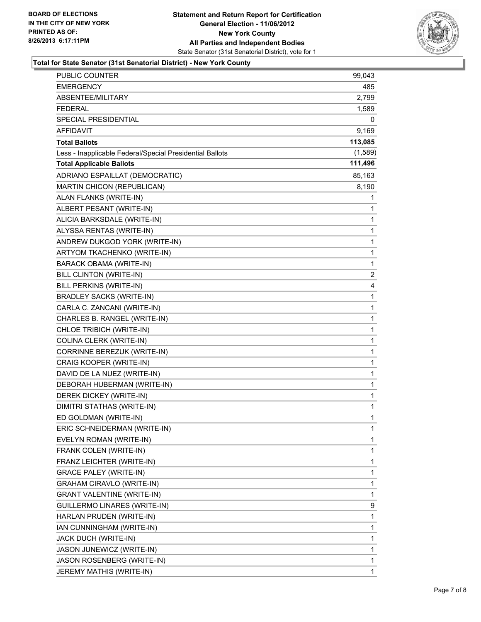

#### **Total for State Senator (31st Senatorial District) - New York County**

| <b>PUBLIC COUNTER</b>                                    | 99,043  |
|----------------------------------------------------------|---------|
| EMERGENCY                                                | 485     |
| ABSENTEE/MILITARY                                        | 2,799   |
| <b>FEDERAL</b>                                           | 1,589   |
| SPECIAL PRESIDENTIAL                                     | 0       |
| <b>AFFIDAVIT</b>                                         | 9,169   |
| <b>Total Ballots</b>                                     | 113,085 |
| Less - Inapplicable Federal/Special Presidential Ballots | (1,589) |
| <b>Total Applicable Ballots</b>                          | 111,496 |
| ADRIANO ESPAILLAT (DEMOCRATIC)                           | 85,163  |
| MARTIN CHICON (REPUBLICAN)                               | 8,190   |
| ALAN FLANKS (WRITE-IN)                                   | 1       |
| ALBERT PESANT (WRITE-IN)                                 | 1       |
| ALICIA BARKSDALE (WRITE-IN)                              | 1       |
| ALYSSA RENTAS (WRITE-IN)                                 | 1       |
| ANDREW DUKGOD YORK (WRITE-IN)                            | 1       |
| ARTYOM TKACHENKO (WRITE-IN)                              | 1       |
| <b>BARACK OBAMA (WRITE-IN)</b>                           | 1       |
| BILL CLINTON (WRITE-IN)                                  | 2       |
| BILL PERKINS (WRITE-IN)                                  | 4       |
| <b>BRADLEY SACKS (WRITE-IN)</b>                          | 1       |
| CARLA C. ZANCANI (WRITE-IN)                              | 1       |
| CHARLES B. RANGEL (WRITE-IN)                             | 1       |
| CHLOE TRIBICH (WRITE-IN)                                 | 1       |
| COLINA CLERK (WRITE-IN)                                  | 1       |
| CORRINNE BEREZUK (WRITE-IN)                              | 1       |
| CRAIG KOOPER (WRITE-IN)                                  | 1       |
| DAVID DE LA NUEZ (WRITE-IN)                              | 1       |
| DEBORAH HUBERMAN (WRITE-IN)                              | 1       |
| DEREK DICKEY (WRITE-IN)                                  | 1       |
| DIMITRI STATHAS (WRITE-IN)                               | 1       |
| ED GOLDMAN (WRITE-IN)                                    | 1       |
| ERIC SCHNEIDERMAN (WRITE-IN)                             | 1       |
| EVELYN ROMAN (WRITE-IN)                                  | 1       |
| FRANK COLEN (WRITE-IN)                                   | 1       |
| FRANZ LEICHTER (WRITE-IN)                                | 1       |
| <b>GRACE PALEY (WRITE-IN)</b>                            | 1       |
| <b>GRAHAM CIRAVLO (WRITE-IN)</b>                         | 1       |
| <b>GRANT VALENTINE (WRITE-IN)</b>                        | 1       |
| GUILLERMO LINARES (WRITE-IN)                             | 9       |
| HARLAN PRUDEN (WRITE-IN)                                 | 1       |
| IAN CUNNINGHAM (WRITE-IN)                                | 1       |
| JACK DUCH (WRITE-IN)                                     | 1       |
| JASON JUNEWICZ (WRITE-IN)                                | 1       |
| JASON ROSENBERG (WRITE-IN)                               | 1       |
| JEREMY MATHIS (WRITE-IN)                                 | 1       |
|                                                          |         |